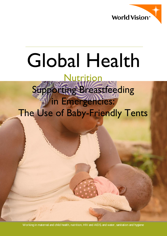

# Global Health **Nutrition** Supporting Breastfeeding **in Emergencies:** The Use of Baby-Friendly Tents

Working in maternal and child health, nutrition, HIV and AIDS, and water, sanitation and hygiene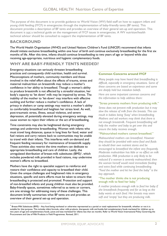The purpose of this document is to provide guidance to World Vision (WV) field staff on how to support infant and young child feeding (IYCF) in emergencies through the implementation of baby-friendly tents (BF tents). This document provides a description of BF tents and provides an overview of their general set-up and operation. This document is not a technical guide on the management of IYCF issues in emergencies. A WV nutrition/health technical advisor should be consulted to support the implementation of BF tents.

# **BACKGROUND**

The World Health Organisation (WHO) and United Nations Children's Fund (UNICEF) recommend that infants should initiate exclusive breastfeeding within one hour of birth and continue exclusively breastfeeding for the first six months of life. After this time, infants should continue breastfeeding to two years of age or beyond while also receiving age-appropriate, nutritious and hygienic complementary foods.

# **WHY ARE BABY-FRIENDLY TENTS NEEDED?**

Emergency situations can seriously threaten breastfeeding practices and consequently child nutrition, health and survival. Misconceptions of mothers, community members and those involved in the relief effort about the effects of trauma, stress and maternal malnutrition on breastmilk may reduce a mother's confidence in her ability to breastfeed. Though a woman's ability to produce breastmilk is not affected by a stressful situation, her body's capacity to 'let down' milk may be impaired by stress. The inability of the mother to 'let-down' may interfere with effective suckling and further reduce a mother's confidence. A lack of privacy in shelters or camp settings may restrict a mother's ability to comfortably breastfeed and heighten her stress level. As well, post-traumatic stress, illness, sexual violence, and severe depression, all potentially elevated during emergency settings, may cause women to reject their infants or the act of breastfeeding.

Time constraints may also be heightened during emergency settings and undermine breastfeeding. Women with infants who must travel long distances, queue in long lines for food, water and fuel rations and carry rations back to communities may be unable to travel with their infants. This interferes with on-demand and frequent feeding necessary for maintenance of breastmilk supply. These activities also restrict the time mothers can dedicate to appropriate breastfeeding and care of children. Lastly, the unregulated distribution of breast-milk substitutes (BMS)<sup>1</sup>, which includes powdered milk provided in food rations, may undermine women's efforts to breastfeed.

Mothers have the right to specialist support to reinforce and restore their confidence and capacity to breastfeed their child. Given the unique challenges and heightened risks in emergency situations, specific and extra efforts must be taken to ensure that breastfeeding is protected and promoted. Protection and support of non-breastfed infants and young children must also be provided. Baby-friendly spaces, sometimes referred to as tents or corners, are one strategy for addressing many of these challenges. This document briefly summarises what BF tents are and provides an overview of their general set-up and operation.

1

# **Common Concerns around IYCF**

*Many people may have heard that breastfeeding is difficult, especially in emergency situations. Some of these concerns are based on experience and some are deeply held but mistaken beliefs.* 

*Here are some important common concerns and the information to help address them:* 

# "Stress prevents mothers from producing milk."

*Stress does not prevent milk production but it may slow the release of milk from the breasts. This can result in babies being 'fussy' when breastfeeding. Mothers and aid workers may think that there is not enough breastmilk. Frequent breastfeeding will help the mother and baby to get over this and ensure the baby receives enough.* 

# "Malnourished mothers cannot breastfeed."

*Malnourished mothers can breastfeed. However they should be provided with extra food and fluids to rebuild their own nutrient stores and be encouraged to breastfeed the infant very frequently. Moderate malnutrition has little or no effect on milk production. Milk production is only likely to be reduced if a woman is severely malnourished; then the woman herself would need immediate feeding and extra food while continuing breastfeeding. "Feed the mother and let her feed the baby" is the key approach.*

#### "The mother thinks she is not producing enough milk to feed her baby."

*A mother produces enough milk to feed her baby if she breastfeeds frequently and for as long as the baby wants at each feed. Her breasts may seem soft and 'empty' but they are producing milk.* 

 $^{\rm 1}$  Breast-Milk Substitutes (BMS) – Any food being marketed or otherwise represented as a partial or total replacement for breastmilk, whether or not it is suitable for that purpose. This includes infant formula, other milk products, therapeutic milk and bottle-fed complementary foods marketed for children up to two years of age and complementary foods, juices and teas marketed for infants less than six months. Refer to World Vision International Policy Governing the Procurement and Use of Milk Products in Field Programmes. Revised, 2011.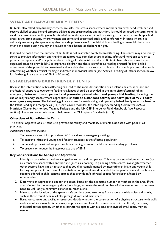# **WHAT ARE BABY-FRIENDLY TENTS?**

BF tents, also called baby-friendly corners, are safe, low-stress spaces where mothers can breastfeed, rest, eat and receive skilled counseling and targeted advice about breastfeeding and nutrition. It should be noted the term 'tents' is used for convenience as they may be stand-alone units, spaces within other existing structures, or simply specified areas in the camp setting, where women can come and breastfeed safely and comfortably. In cases where it is culturally necessary the spaces may also provide private areas for individual breastfeeding women. Mothers may attend the tents during the day and return to their homes or shelters at night.

It should be noted that the purpose of BF tents is not restricted solely to breastfeeding. The spaces may also jointly serve to provide information and training on appropriate complementary feeding, infant and newborn care or to provide therapeutic and/or supplementary feeding of malnourished children. BF tents have also been used as a regulated space to provide BMS to orphaned children and those identified as needing artificial feeding. Skilled assessment of the potential to breastfeed and available alternative sources to breastmilk is an important criterion in determining whether artificial feeding is indicated in individual infants (see Artificial Feeding of Infants section below for further guidance on use of BMS in BF tents).

# **ESTABLISHING BABY-FRIENDLY TENTS**

Because the interruption of breastfeeding can lead to the rapid deterioration of an infant's health, adequate and professional support to overcome feeding challenges should be provided in the immediate aftermath of an emergency. **Interventions to protect and promote optimal infant and young child feeding**, including the use of Baby-friendly spaces where appropriate, **should be a standard activity and form part of WV's early emergency response.** The following guidance notes for establishing and operating baby-friendly tents are based on the Infant Feeding in Emergencies (IFE) Core Group modules, the Inter-Agency Standing Committee (IASC) Nutrition Cluster Harmonised Training Package and the UNICEF Emergency Field Handbook (see Resource section). These guidance notes aim to help meet the IYCF Sphere Standards (2011).

# **Objectives of Baby-Friendly Tents**

The overall objective of a BF tent is to prevent morbidity and mortality of infants associated with poor IYCF practices.

Additional objectives include:

- i. To prevent a rise of inappropriate IYCF practices in emergency settings
- ii. To improve infant and young child feeding practices in the affected population
- iii. To provide professional support for breastfeeding women to address breastfeeding problems
- iv. To prevent or reduce the inappropriate use of BMS

# **Key Considerations for Set-Up and Operation**

- 1. Identify a space where mothers can gather to rest and recuperate. This may be a stand-alone structure (such as a tent) or a space within another site (such as a corner). In planning a 'safe space', investigate whether other sectors have similar initiatives that could be complemented by integrating an infant and young child feeding component. For example, a nutrition component could be added to the protection and psychosocial support offered in child-centred spaces that provide safe, physical spaces for children affected by emergencies.
- 2. Determine an appropriate size for the space, based on the estimated number of mothers in the area. If the area affected by the emergency situation is large, estimate the total number of sites needed so that women need to walk only a minimum distance to reach a site.
- 3. Make sure the location of the space is safe and in a quiet area away from excess outside noise and smells, such as those found near markets, garbage dumps and main roads.
- 4. Based on context and available resources, decide whether the construction of a physical structure, with walls and/or roof for example, is necessary, appropriate and feasible. In areas where it is culturally necessary, individual private spaces, whether as partitioned spaces within a tent or individual small tents, may be needed.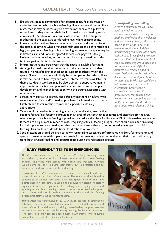- 5. Ensure the space is comfortable for breastfeeding. Provide mats or chairs for women who are breastfeeding. If women are sitting on floor mats, then it may be necessary to provide mothers with a pillow or other item so they can rest their backs to make breastfeeding more comfortable. A pillow or rolled-up cloth is also useful to help the mother hold the baby at a comfortable level while breastfeeding.
- 6. Make sure the mothers have easy access to water and food while at the space. In settings where maternal malnutrition and dehydration are high, supplemental feeding of breastfeeding women at the space may be indicated as an additional integrated service (see page 5'). Ideally latrines and hand washing stations would be easily accessible to the tents or part of the tents themselves.
- 7. Inform mothers and caregivers that the space is available for them.
- 8. Arrange for health workers, members of the community or others trained in breastfeeding counselling to support mothers within the space. Given that mothers will likely be accompanied by older children, it may be useful to have toys and other interactive items available for their use. Health workers may be also trained to support women in appropriate interaction and play with children to promote proper development and help children cope with the trauma associated with emergencies.
- 9. Screen new arrivals to identify and refer any mothers or infants with severe malnutrition and/or feeding problems for immediate assistance.
- 10. Establish and foster mother-to-mother support, if culturally appropriate.

11. When artificial feeding is occurring at a baby-friendly site, ensure that support for artificial feeding is provided in an area of the tent that is separate and distinct from the area where support for breastfeeding is provided, to reduce the risk of spill-over of BMS to breastfeeding women. If there are a significant number of cases requiring artificial feeding support, WV should consider providing in-kind support to breastfeeding mothers, so as to ensure there is no perceived advantage to artificial feeding. This could include additional food rations or vouchers.

12. Special attention should be given to newly responsible caregivers (of orphaned children, for example), and special arrangements with supervision made for women who might be building up their breastmilk supply using both artificial feeding and breastfeeding during the relactation process.

# **BABY-FRIENDLY TENTS IN EMERGENCIES**

*Bosnia:* In Albanian refugee camps in the 1990s, Baby Washing Tents established by Action Against Hunger became ad hoc breastfeeding centres. The tents were staffed with health care workers. Women would come not only to bathe their infants but to breastfeed and to seek advice and assistance with breastfeeding.

*Tanzania:* In 1998, breastfeeding corners were established near maternal centres in Hutu refugee camps. The tents provided lactation support to all women soon after birth. The spaces, built of poles and plastic sheeting, had straw mats on the ground for sitting, necessary equipment, including cups, basins for bathing, and weighing scales, and specially trained breastfeeding corner assistants who provided support and collaborated closely with community workers and the feeding programme staff to support breastfeeding.

*Haiti***:** After the earthquake in 2010, UNICEF assisted in establishing 107 baby tents which provided services to over 23,000 mothers and their infants. In addition to providing breastfeeding support, women receive information on complementary feeding, hygiene and nutrition. The tents also provided care for almost 3,000 infants who required artificial feeding with breast-milk substitutes.

EMPOWER, EQUIP, ADVOCATE 4

*Breastfeeding counselling*

*involves practical, technical 'knowhow' as much as strong communication skills. Listening to mothers, reinforcing their confidence and encouraging them, rather than 'telling' them what to do, is an essential component. A skilled breastfeeding counsellor can provide assistance to breastfeeding women to ensure that the fundamentals of good breastfeeding are in place and to resolve common difficulties. Mothers are greatly helped to breastfeed and care for their infants if someone calm and friendly listens to them, and builds their confidence with reassurance and correct information. Breastfeeding counsellors may be health professionals, community health workers or peer counsellors (such as mothers and grandmothers) who have undertaken relevant training.*

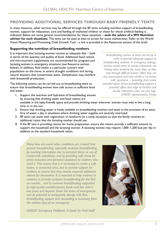# **PROVIDING ADDITIONAL SERVICES THROUGH BABY-FRIENDLY TENTS**

In many instances, other services may be offered through the BF tents including nutrition support of breastfeeding women, support for relactation, care and feeding of orphaned children or those for whom artificial feeding is indicated. Below are some general recommendations for these situations – **seek the advice of a WV Nutrition advisor for such situations**. The tents can be used as sites to screen for acute malnutrition. Refer to the World Vision Measuring and Promoting Child Growth Tool – a link is provided in the Resources section of this brief.

# **Supporting the nutrition of breastfeeding mothers**

It is important that lactating women receive an adequate diet – both in terms of the quantity and quality of food. Additional food rations and micronutrient supplements are recommended for pregnant and lactating women in emergency situations (see Resource section below). In addition, fluid intake is a particular concern with populations on the move, in severe drought conditions and during natural disasters that contaminate water. Dehydration may interfere with breastmilk production.

The following actions can be carried out at breastfeeding tents to ensure that breastfeeding women have safe access to sufficient food and water:

- 1. Support the nutrition and hydration of breastfeeding women by ensuring that drinking water and food rations are available in the baby-friendly space and provide drinking water wherever women must wait in line a long time or in the sun.
- 2. Ensure that drinking water is freely available to breastfeeding mothers and assist in the provision of an extra litre of water a day in situations where drinking water supplies are severely restricted.
- 3. BF tents can assist with registration of newborns (in a camp situation) so that the family receives an additional ration that the lactating mother should use.
- 4. If the BF tent is providing rations for home preparation, ensure the rations provide a sufficient amount to support the household and the lactating women. A lactating woman may require 1,000–1,200 kcal per day in addition to the standard household ration.

*Many lives are saved when conditions are created that protect breastfeeding, especially exclusive breastfeeding, by avoiding interruption due to personal stress or use of breast-milk substitutes, and by providing safe areas for stress reduction and personal assistance to mothers who need it. This means that it is necessary to create a safe haven, or protected area, and to provide support for mothers to ensure that they receive required additional rations for themselves. It is essential to help mothers to continue to provide exclusive breastfeeding for the first six months…and to continue breastfeeding supported by high-quality complementary foods until the child is two years and beyond. Given the stress of emergencies and its potential to temporarily disrupt milk flow, breastfeeding support and counselling is necessary from the earliest days of an emergency.* 



*UNICEF, Emergency Fieldbook: A Guide for Field Staff*

*Breastfeeding corners or tents are set up in order to provide adequate support to breastfeeding mothers. In emergency settings, women would arrive at camps exhausted, not having eaten properly for many days, as they trek through difficult terrain. Often they are very traumatised and may exhibit a 'no breast milk' syndrome… providing them some secluded space where breastfeeding support is provided offers that edge of comfort and usually relactation rates are very high. UNICEF representative, Kenya*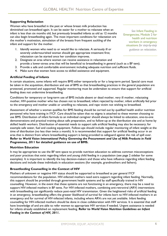# **Supporting Relactation**

Women who have breastfed in the past or whose breast milk production has diminished can breastfeed again. It can be easier for a mother to relactate when an infant is less than six months old, but previously breastfed infants as old as 12 months can also begin breastfeeding again. The most important conditions for relactation are the mother's motivation, stimulation of the breasts from frequent suckling of the infant and support for the mother.

- 1. Identify women who need to or would like to relactate. A seriously ill or severely undernourished woman should get appropriate treatment first; relactation can be started once her condition improves.
- 2. Designate an area where women can receive assistance in relactation and provide a lower-stress area that will be beneficial to breastfeeding in general (such as a BF tent).
- 3. Provide a safe and comfortable environment including adequate nutrition and sufficient fluids.
- 4. Make sure that women have access to skilled assistance and equipment.

# **Artificial Feeding of Infants**

In certain situations, some infants will require BMS either temporarily or for a long-term period. Special care must be taken in the acquisition, distribution and use of BMS so that breastfeeding practices in the general population are protected, promoted and supported. Regular monitoring must be undertaken to ensure that support for artificial feeding does not undermine breastfeeding.

Conditions for temporary or long-term use of BMS include absent or dead mother, very ill mother, relactating mother, HIV-positive mother who has chosen not to breastfeed, infant rejected by mother, infant artificially fed prior to the emergency and mother unable or unwilling to relactate, and rape victim not wishing to breastfeed.

Assessment of whether a woman qualifies for BMS feeding should be carried out by qualified health and/or nutrition personnel who have training in IYCF. Care should be taken that no stigma is attached to these women choosing to use BMS. Distribution of infant formula to an individual caregiver should always be linked to education, one-to-one demonstrations and practical training about safe preparation, and to follow-up at the distribution site and at home by skilled health workers. Distribution of essential needs to support safe artificial feeding may also be necessary; for example safe water, fuel and cooking equipment. Follow-ups should include regular monitoring of infant weight at the time of distribution (no less than twice a month). It is recommended that support for artificial feeding occur in an area that is distinct from where breastfeeding support is being provided to safeguard against the risk of spill over. **Refer to** *World Vision International Policy Governing the Procurement and Use of Milk Products in Field Programmes, 2011* **for detailed guidance on use of BMS.**

# **Nutrition Education**

It may be appropriate to use the BF tent space to provide nutrition education to address common misconceptions and poor practices that exist regarding infant and young child feeding in a population (see page 2 sidebar for some examples). It is important to identify the key decision-makers and those who have influence regarding infant feeding decisions and include these individuals in education sessions (for example, grandmothers and fathers).

# **Breastfeeding Counselling in the Context of HIV**

Mothers of unknown or negative HIV status should be supported to breastfeed as per general IYCF recommendations for the population. HIV-infected mothers need extra support regarding infant feeding. Normally, this support should be provided through government health systems and by staff specifically trained in HIV counselling. However, in the event that these systems are not functioning in an emergency, there may be a need to support HIV-infected mothers in BF tents. For HIV-infected mothers, combining anti-retroviral (ARV) interventions with breastfeeding can significantly reduce post-natal HIV transmission. Given the heightened risks of artificial feeding in an emergency, breastfeeding offers the greater likelihood of survival for infants born to HIV-infected mothers in an emergency and for survival of HIV-infected infants, including where ARVs are not yet available. Infant feeding counselling for HIV-infected mothers should be done in close collaboration with HIV services. It is essential that staff have knowledge of and are able to refer women to appropriate HIV services if needed. Urgent assistance is needed for infants already established on replacement feeding. **Refer to** *World Vision Nutrition Guidelines on Infant Feeding in the Context of HIV, 2011***.**

*See* Infant Feeding in Emergencies, Module 2 for health and nutrition workers in emergency situations *for step-by-step guidance on relactation*.